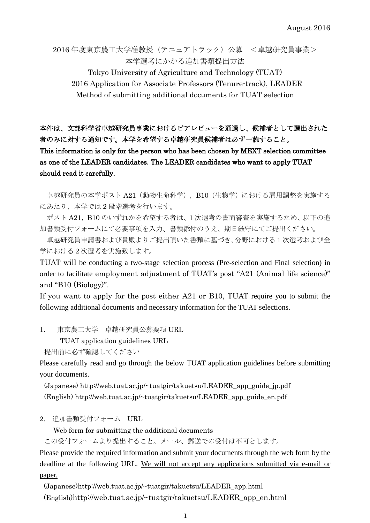2016 年度東京農工大学准教授(テニュアトラック)公募 <卓越研究員事業> 本学選考にかかる追加書類提出方法

Tokyo University of Agriculture and Technology (TUAT) 2016 Application for Associate Professors (Tenure-track), LEADER Method of submitting additional documents for TUAT selection

## 本件は、文部科学省卓越研究員事業におけるピアレビューを通過し、候補者として選出された 者のみに対する通知です。本学を希望する卓越研究員候補者は必ず一読すること。 This information is only for the person who has been chosen by MEXT selection committee as one of the LEADER candidates. The LEADER candidates who want to apply TUAT should read it carefully.

卓越研究員の本学ポスト A21 (動物生命科学), B10 (生物学)における雇用調整を実施する にあたり、本学では 2 段階選考を行います。

ポスト A21, B10 のいずれかを希望する者は、1次選考の書面審査を実施するため、以下の追 加書類受付フォームにて必要事項を入力、書類添付のうえ、期日厳守にてご提出ください。

卓越研究員申請書および貴殿よりご提出頂いた書類に基づき、分野における1次選考および全 学における2次選考を実施致します。

TUAT will be conducting a two-stage selection process (Pre-selection and Final selection) in order to facilitate employment adjustment of TUAT's post "A21 (Animal life science)" and "B10 (Biology)".

If you want to apply for the post either A21 or B10, TUAT require you to submit the following additional documents and necessary information for the TUAT selections.

1. 東京農工大学 卓越研究員公募要項 URL

TUAT application guidelines URL

```
提出前に必ず確認してください
```
Please carefully read and go through the below TUAT application guidelines before submitting your documents.

(Japanese) http://web.tuat.ac.jp/~tuatgir/takuetsu/LEADER\_app\_guide\_jp.pdf (English) http://web.tuat.ac.jp/~tuatgir/takuetsu/LEADER\_app\_guide\_en.pdf

2. 追加書類受付フォーム URL

Web form for submitting the additional documents

この受付フォームより提出すること。メール、郵送での受付は不可とします。

Please provide the required information and submit your documents through the web form by the deadline at the following URL. We will not accept any applications submitted via e-mail or paper.

(Japanese)http://web.tuat.ac.jp/~tuatgir/takuetsu/LEADER\_app.html (English)http://web.tuat.ac.jp/~tuatgir/takuetsu/LEADER\_app\_en.html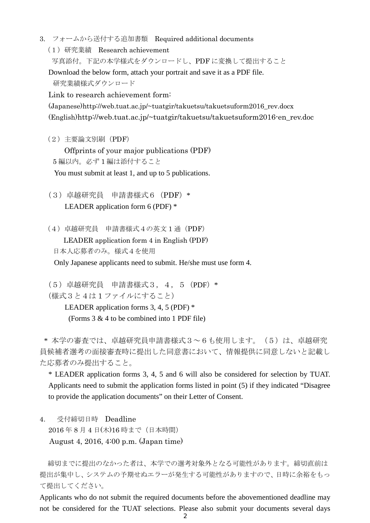3. フォームから送付する追加書類 Required additional documents

(1)研究業績 Research achievement

写真添付。下記の本学様式をダウンロードし、PDF に変換して提出すること

Download the below form, attach your portrait and save it as a PDF file.

研究業績様式ダウンロード

Link to research achievement form:

(Japanese)http://web.tuat.ac.jp/~tuatgir/takuetsu/takuetsuform2016\_rev.docx (English)http://web.tuat.ac.jp/~tuatgir/takuetsu/takuetsuform2016-en\_rev.doc

(2)主要論文別刷(PDF)

Offprints of your major publications (PDF)

5 編以内。必ず 1 編は添付すること

You must submit at least 1, and up to 5 publications.

(3)卓越研究員 申請書様式6(PDF)\* LEADER application form 6 (PDF) \*

(4)卓越研究員 申請書様式4の英文 1 通(PDF)

LEADER application form 4 in English (PDF)

日本人応募者のみ。様式4を使用

Only Japanese applicants need to submit. He/she must use form 4.

(5)卓越研究員 申請書様式3,4,5(PDF)\* (様式3と4は 1 ファイルにすること)

LEADER application forms 3, 4, 5 (PDF) \* (Forms 3 & 4 to be combined into 1 PDF file)

\* 本学の審査では、卓越研究員申請書様式3~6も使用します。(5)は、卓越研究 員候補者選考の面接審査時に提出した同意書において、情報提供に同意しないと記載し

た応募者のみ提出すること。

\* LEADER application forms 3, 4, 5 and 6 will also be considered for selection by TUAT. Applicants need to submit the application forms listed in point (5) if they indicated "Disagree to provide the application documents" on their Letter of Consent.

4. 受付締切日時 Deadline 2016年8月4日(木)16時まで(日本時間)

August 4, 2016, 4:00 p.m. (Japan time)

締切までに提出のなかった者は、本学での選考対象外となる可能性があります。締切直前は 提出が集中し、システムの予期せぬエラーが発生する可能性がありますので、日時に余裕をもっ て提出してください。

Applicants who do not submit the required documents before the abovementioned deadline may not be considered for the TUAT selections. Please also submit your documents several days